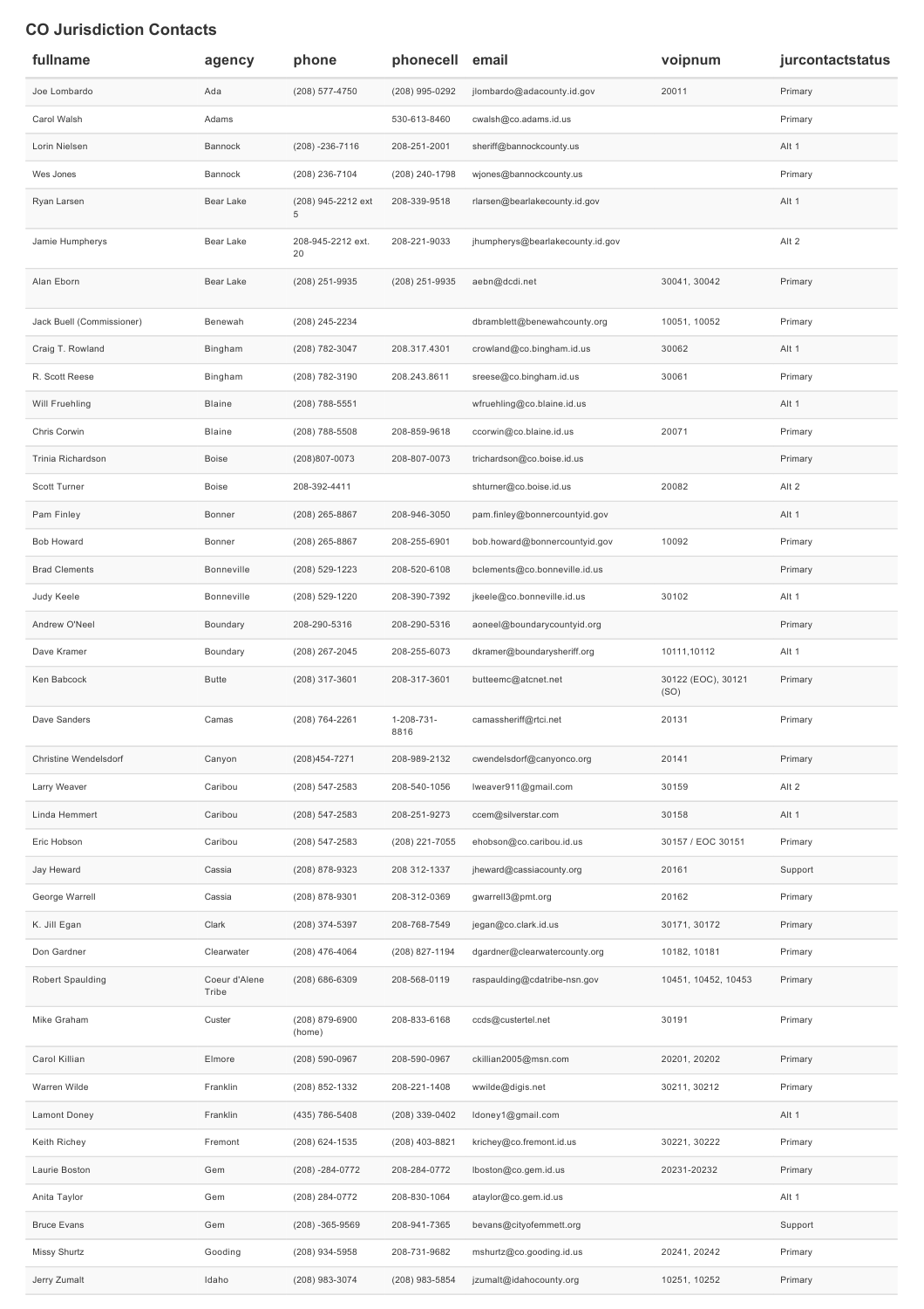## **CO Jurisdiction Contacts**

| fullname                  | agency                 | phone                    | phonecell email    |                                  | voipnum                    | jurcontactstatus |
|---------------------------|------------------------|--------------------------|--------------------|----------------------------------|----------------------------|------------------|
| Joe Lombardo              | Ada                    | (208) 577-4750           | (208) 995-0292     | jlombardo@adacounty.id.gov       | 20011                      | Primary          |
| Carol Walsh               | Adams                  |                          | 530-613-8460       | cwalsh@co.adams.id.us            |                            | Primary          |
| Lorin Nielsen             | Bannock                | $(208) - 236 - 7116$     | 208-251-2001       | sheriff@bannockcounty.us         |                            | Alt 1            |
| Wes Jones                 | Bannock                | (208) 236-7104           | (208) 240-1798     | wjones@bannockcounty.us          |                            | Primary          |
| Ryan Larsen               | Bear Lake              | (208) 945-2212 ext<br>5  | 208-339-9518       | rlarsen@bearlakecounty.id.gov    |                            | Alt 1            |
| Jamie Humpherys           | Bear Lake              | 208-945-2212 ext.<br>20  | 208-221-9033       | jhumpherys@bearlakecounty.id.gov |                            | Alt 2            |
| Alan Eborn                | Bear Lake              | (208) 251-9935           | (208) 251-9935     | aebn@dcdi.net                    | 30041, 30042               | Primary          |
| Jack Buell (Commissioner) | Benewah                | (208) 245-2234           |                    | dbramblett@benewahcounty.org     | 10051, 10052               | Primary          |
| Craig T. Rowland          | Bingham                | (208) 782-3047           | 208.317.4301       | crowland@co.bingham.id.us        | 30062                      | Alt 1            |
| R. Scott Reese            | Bingham                | (208) 782-3190           | 208.243.8611       | sreese@co.bingham.id.us          | 30061                      | Primary          |
| Will Fruehling            | Blaine                 | (208) 788-5551           |                    | wfruehling@co.blaine.id.us       |                            | Alt 1            |
| Chris Corwin              | Blaine                 | (208) 788-5508           | 208-859-9618       | ccorwin@co.blaine.id.us          | 20071                      | Primary          |
| Trinia Richardson         | Boise                  | (208)807-0073            | 208-807-0073       | trichardson@co.boise.id.us       |                            | Primary          |
| Scott Turner              | Boise                  | 208-392-4411             |                    | shturner@co.boise.id.us          | 20082                      | Alt 2            |
| Pam Finley                | Bonner                 | (208) 265-8867           | 208-946-3050       | pam.finley@bonnercountyid.gov    |                            | Alt 1            |
| <b>Bob Howard</b>         | Bonner                 | (208) 265-8867           | 208-255-6901       | bob.howard@bonnercountyid.gov    | 10092                      | Primary          |
| <b>Brad Clements</b>      | Bonneville             | (208) 529-1223           | 208-520-6108       | bclements@co.bonneville.id.us    |                            | Primary          |
| Judy Keele                | Bonneville             | (208) 529-1220           | 208-390-7392       | jkeele@co.bonneville.id.us       | 30102                      | Alt 1            |
| Andrew O'Neel             | Boundary               | 208-290-5316             | 208-290-5316       | aoneel@boundarycountyid.org      |                            | Primary          |
| Dave Kramer               | Boundary               | (208) 267-2045           | 208-255-6073       | dkramer@boundarysheriff.org      | 10111,10112                | Alt 1            |
| Ken Babcock               | Butte                  | (208) 317-3601           | 208-317-3601       | butteemc@atcnet.net              | 30122 (EOC), 30121<br>(SO) | Primary          |
| Dave Sanders              | Camas                  | (208) 764-2261           | 1-208-731-<br>8816 | camassheriff@rtci.net            | 20131                      | Primary          |
| Christine Wendelsdorf     | Canyon                 | (208) 454-7271           | 208-989-2132       | cwendelsdorf@canyonco.org        | 20141                      | Primary          |
| Larry Weaver              | Caribou                | (208) 547-2583           | 208-540-1056       | lweaver911@gmail.com             | 30159                      | Alt 2            |
| Linda Hemmert             | Caribou                | (208) 547-2583           | 208-251-9273       | ccem@silverstar.com              | 30158                      | Alt 1            |
| Eric Hobson               | Caribou                | (208) 547-2583           | (208) 221-7055     | ehobson@co.caribou.id.us         | 30157 / EOC 30151          | Primary          |
| Jay Heward                | Cassia                 | (208) 878-9323           | 208 312-1337       | jheward@cassiacounty.org         | 20161                      | Support          |
| George Warrell            | Cassia                 | (208) 878-9301           | 208-312-0369       | gwarrell3@pmt.org                | 20162                      | Primary          |
| K. Jill Egan              | Clark                  | (208) 374-5397           | 208-768-7549       | jegan@co.clark.id.us             | 30171, 30172               | Primary          |
| Don Gardner               | Clearwater             | (208) 476-4064           | (208) 827-1194     | dgardner@clearwatercounty.org    | 10182, 10181               | Primary          |
| Robert Spaulding          | Coeur d'Alene<br>Tribe | $(208)$ 686-6309         | 208-568-0119       | raspaulding@cdatribe-nsn.gov     | 10451, 10452, 10453        | Primary          |
| Mike Graham               | Custer                 | (208) 879-6900<br>(home) | 208-833-6168       | ccds@custertel.net               | 30191                      | Primary          |
| Carol Killian             | Elmore                 | (208) 590-0967           | 208-590-0967       | ckillian2005@msn.com             | 20201, 20202               | Primary          |
| Warren Wilde              | Franklin               | (208) 852-1332           | 208-221-1408       | wwilde@digis.net                 | 30211, 30212               | Primary          |
| Lamont Doney              | Franklin               | (435) 786-5408           | (208) 339-0402     | Idoney1@gmail.com                |                            | Alt 1            |
| Keith Richey              | Fremont                | (208) 624-1535           | (208) 403-8821     | krichey@co.fremont.id.us         | 30221, 30222               | Primary          |
| Laurie Boston             | Gem                    | $(208) - 284 - 0772$     | 208-284-0772       | lboston@co.gem.id.us             | 20231-20232                | Primary          |
| Anita Taylor              | Gem                    | (208) 284-0772           | 208-830-1064       | ataylor@co.gem.id.us             |                            | Alt 1            |
| <b>Bruce Evans</b>        | Gem                    | $(208) - 365 - 9569$     | 208-941-7365       | bevans@cityofemmett.org          |                            | Support          |
| Missy Shurtz              | Gooding                | (208) 934-5958           | 208-731-9682       | mshurtz@co.gooding.id.us         | 20241, 20242               | Primary          |
| Jerry Zumalt              | Idaho                  | (208) 983-3074           | (208) 983-5854     | jzumalt@idahocounty.org          | 10251, 10252               | Primary          |